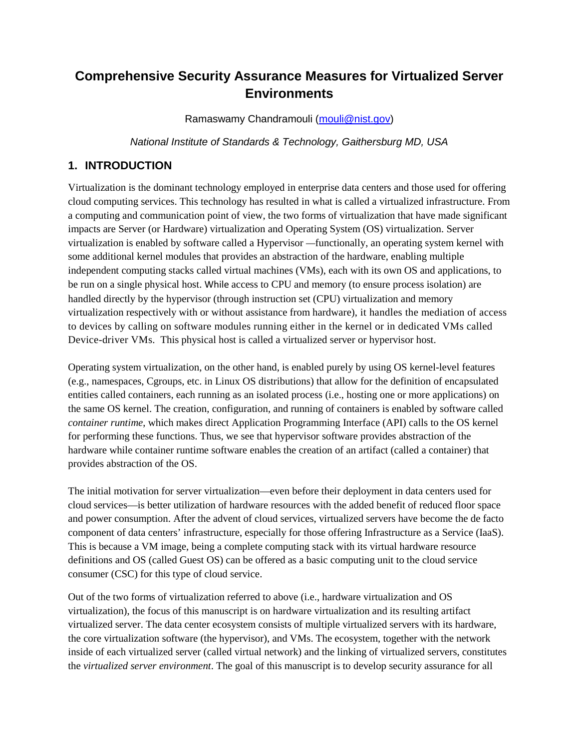# **Comprehensive Security Assurance Measures for Virtualized Server Environments**

Ramaswamy Chandramouli [\(mouli@nist.gov\)](mailto:mouli@nist.gov)

*National Institute of Standards & Technology, Gaithersburg MD, USA*

### **1. INTRODUCTION**

Virtualization is the dominant technology employed in enterprise data centers and those used for offering cloud computing services. This technology has resulted in what is called a virtualized infrastructure. From a computing and communication point of view, the two forms of virtualization that have made significant impacts are Server (or Hardware) virtualization and Operating System (OS) virtualization. Server virtualization is enabled by software called a Hypervisor *—*functionally, an operating system kernel with some additional kernel modules that provides an abstraction of the hardware, enabling multiple independent computing stacks called virtual machines (VMs), each with its own OS and applications, to be run on a single physical host. While access to CPU and memory (to ensure process isolation) are handled directly by the hypervisor (through instruction set (CPU) virtualization and memory virtualization respectively with or without assistance from hardware), it handles the mediation of access to devices by calling on software modules running either in the kernel or in dedicated VMs called Device-driver VMs. This physical host is called a virtualized server or hypervisor host.

Operating system virtualization, on the other hand, is enabled purely by using OS kernel-level features (e.g., namespaces, Cgroups, etc. in Linux OS distributions) that allow for the definition of encapsulated entities called containers, each running as an isolated process (i.e., hosting one or more applications) on the same OS kernel. The creation, configuration, and running of containers is enabled by software called *container runtime*, which makes direct Application Programming Interface (API) calls to the OS kernel for performing these functions. Thus, we see that hypervisor software provides abstraction of the hardware while container runtime software enables the creation of an artifact (called a container) that provides abstraction of the OS.

The initial motivation for server virtualization—even before their deployment in data centers used for cloud services—is better utilization of hardware resources with the added benefit of reduced floor space and power consumption. After the advent of cloud services, virtualized servers have become the de facto component of data centers' infrastructure, especially for those offering Infrastructure as a Service (IaaS). This is because a VM image, being a complete computing stack with its virtual hardware resource definitions and OS (called Guest OS) can be offered as a basic computing unit to the cloud service consumer (CSC) for this type of cloud service.

Out of the two forms of virtualization referred to above (i.e., hardware virtualization and OS virtualization), the focus of this manuscript is on hardware virtualization and its resulting artifact virtualized server. The data center ecosystem consists of multiple virtualized servers with its hardware, the core virtualization software (the hypervisor), and VMs. The ecosystem, together with the network inside of each virtualized server (called virtual network) and the linking of virtualized servers, constitutes the *virtualized server environment*. The goal of this manuscript is to develop security assurance for all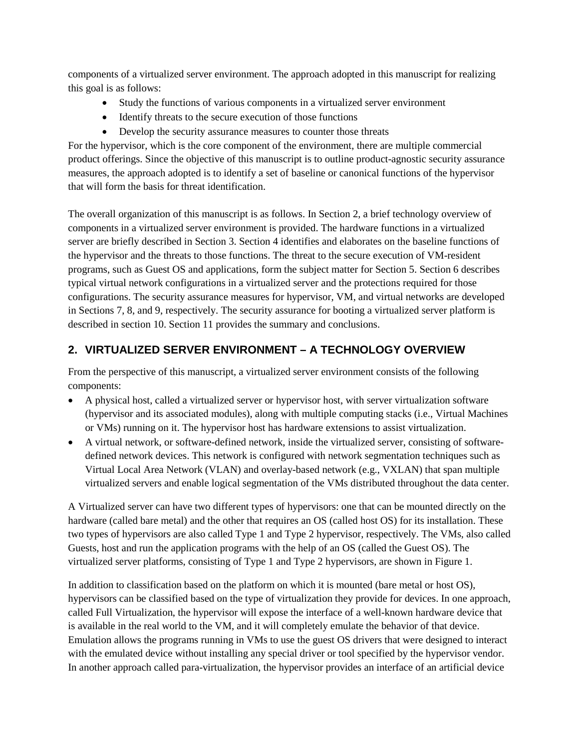components of a virtualized server environment. The approach adopted in this manuscript for realizing this goal is as follows:

- Study the functions of various components in a virtualized server environment
- Identify threats to the secure execution of those functions
- Develop the security assurance measures to counter those threats

For the hypervisor, which is the core component of the environment, there are multiple commercial product offerings. Since the objective of this manuscript is to outline product-agnostic security assurance measures, the approach adopted is to identify a set of baseline or canonical functions of the hypervisor that will form the basis for threat identification.

The overall organization of this manuscript is as follows. In Section 2, a brief technology overview of components in a virtualized server environment is provided. The hardware functions in a virtualized server are briefly described in Section 3. Section 4 identifies and elaborates on the baseline functions of the hypervisor and the threats to those functions. The threat to the secure execution of VM-resident programs, such as Guest OS and applications, form the subject matter for Section 5. Section 6 describes typical virtual network configurations in a virtualized server and the protections required for those configurations. The security assurance measures for hypervisor, VM, and virtual networks are developed in Sections 7, 8, and 9, respectively. The security assurance for booting a virtualized server platform is described in section 10. Section 11 provides the summary and conclusions.

## **2. VIRTUALIZED SERVER ENVIRONMENT – A TECHNOLOGY OVERVIEW**

From the perspective of this manuscript, a virtualized server environment consists of the following components:

- A physical host, called a virtualized server or hypervisor host, with server virtualization software (hypervisor and its associated modules), along with multiple computing stacks (i.e., Virtual Machines or VMs) running on it. The hypervisor host has hardware extensions to assist virtualization.
- A virtual network, or software-defined network, inside the virtualized server, consisting of softwaredefined network devices. This network is configured with network segmentation techniques such as Virtual Local Area Network (VLAN) and overlay-based network (e.g., VXLAN) that span multiple virtualized servers and enable logical segmentation of the VMs distributed throughout the data center.

A Virtualized server can have two different types of hypervisors: one that can be mounted directly on the hardware (called bare metal) and the other that requires an OS (called host OS) for its installation. These two types of hypervisors are also called Type 1 and Type 2 hypervisor, respectively. The VMs, also called Guests, host and run the application programs with the help of an OS (called the Guest OS). The virtualized server platforms, consisting of Type 1 and Type 2 hypervisors, are shown in Figure 1.

In addition to classification based on the platform on which it is mounted (bare metal or host OS), hypervisors can be classified based on the type of virtualization they provide for devices. In one approach, called Full Virtualization, the hypervisor will expose the interface of a well-known hardware device that is available in the real world to the VM, and it will completely emulate the behavior of that device. Emulation allows the programs running in VMs to use the guest OS drivers that were designed to interact with the emulated device without installing any special driver or tool specified by the hypervisor vendor. In another approach called para-virtualization, the hypervisor provides an interface of an artificial device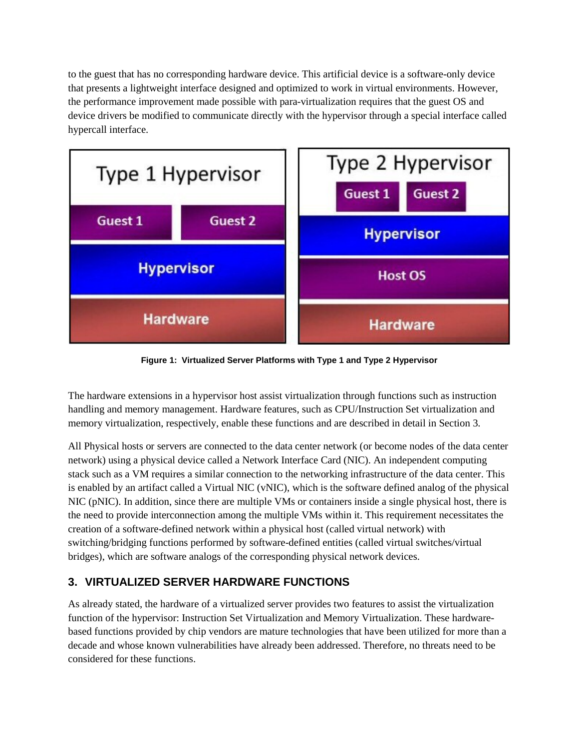to the guest that has no corresponding hardware device. This artificial device is a software-only device that presents a lightweight interface designed and optimized to work in virtual environments. However, the performance improvement made possible with para-virtualization requires that the guest OS and device drivers be modified to communicate directly with the hypervisor through a special interface called hypercall interface.



**Figure 1: Virtualized Server Platforms with Type 1 and Type 2 Hypervisor**

The hardware extensions in a hypervisor host assist virtualization through functions such as instruction handling and memory management. Hardware features, such as CPU/Instruction Set virtualization and memory virtualization, respectively, enable these functions and are described in detail in Section 3.

All Physical hosts or servers are connected to the data center network (or become nodes of the data center network) using a physical device called a Network Interface Card (NIC). An independent computing stack such as a VM requires a similar connection to the networking infrastructure of the data center. This is enabled by an artifact called a Virtual NIC (vNIC), which is the software defined analog of the physical NIC (pNIC). In addition, since there are multiple VMs or containers inside a single physical host, there is the need to provide interconnection among the multiple VMs within it. This requirement necessitates the creation of a software-defined network within a physical host (called virtual network) with switching/bridging functions performed by software-defined entities (called virtual switches/virtual bridges), which are software analogs of the corresponding physical network devices.

## **3. VIRTUALIZED SERVER HARDWARE FUNCTIONS**

As already stated, the hardware of a virtualized server provides two features to assist the virtualization function of the hypervisor: Instruction Set Virtualization and Memory Virtualization. These hardwarebased functions provided by chip vendors are mature technologies that have been utilized for more than a decade and whose known vulnerabilities have already been addressed. Therefore, no threats need to be considered for these functions.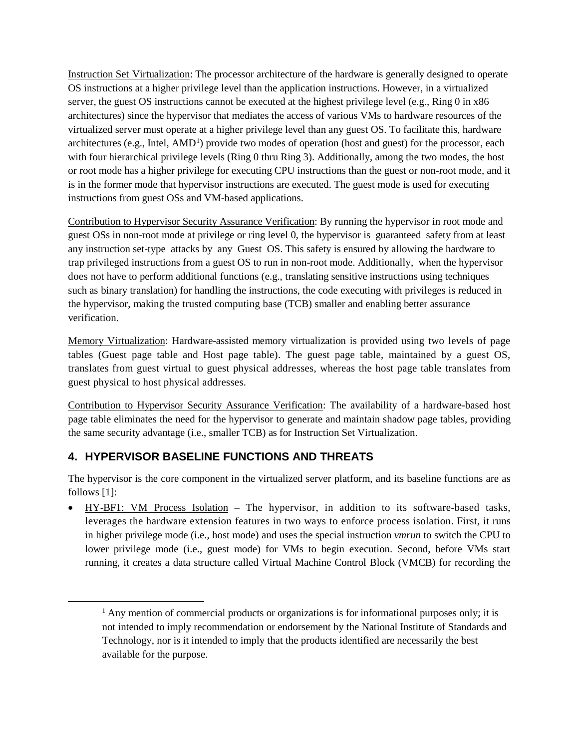Instruction Set Virtualization: The processor architecture of the hardware is generally designed to operate OS instructions at a higher privilege level than the application instructions. However, in a virtualized server, the guest OS instructions cannot be executed at the highest privilege level (e.g., Ring 0 in x86 architectures) since the hypervisor that mediates the access of various VMs to hardware resources of the virtualized server must operate at a higher privilege level than any guest OS. To facilitate this, hardware architectures (e.g., Intel, AMD<sup>[1](#page-3-0)</sup>) provide two modes of operation (host and guest) for the processor, each with four hierarchical privilege levels (Ring 0 thru Ring 3). Additionally, among the two modes, the host or root mode has a higher privilege for executing CPU instructions than the guest or non-root mode, and it is in the former mode that hypervisor instructions are executed. The guest mode is used for executing instructions from guest OSs and VM-based applications.

Contribution to Hypervisor Security Assurance Verification: By running the hypervisor in root mode and guest OSs in non-root mode at privilege or ring level 0, the hypervisor is guaranteed safety from at least any instruction set-type attacks by any Guest OS. This safety is ensured by allowing the hardware to trap privileged instructions from a guest OS to run in non-root mode. Additionally, when the hypervisor does not have to perform additional functions (e.g., translating sensitive instructions using techniques such as binary translation) for handling the instructions, the code executing with privileges is reduced in the hypervisor, making the trusted computing base (TCB) smaller and enabling better assurance verification.

Memory Virtualization: Hardware-assisted memory virtualization is provided using two levels of page tables (Guest page table and Host page table). The guest page table, maintained by a guest OS, translates from guest virtual to guest physical addresses, whereas the host page table translates from guest physical to host physical addresses.

Contribution to Hypervisor Security Assurance Verification: The availability of a hardware-based host page table eliminates the need for the hypervisor to generate and maintain shadow page tables, providing the same security advantage (i.e., smaller TCB) as for Instruction Set Virtualization.

## **4. HYPERVISOR BASELINE FUNCTIONS AND THREATS**

<span id="page-3-0"></span> $\overline{\phantom{a}}$ 

The hypervisor is the core component in the virtualized server platform, and its baseline functions are as follows [1]:

• HY-BF1: VM Process Isolation – The hypervisor, in addition to its software-based tasks, leverages the hardware extension features in two ways to enforce process isolation. First, it runs in higher privilege mode (i.e., host mode) and uses the special instruction *vmrun* to switch the CPU to lower privilege mode (i.e., guest mode) for VMs to begin execution. Second, before VMs start running, it creates a data structure called Virtual Machine Control Block (VMCB) for recording the

 $<sup>1</sup>$  Any mention of commercial products or organizations is for informational purposes only; it is</sup> not intended to imply recommendation or endorsement by the National Institute of Standards and Technology, nor is it intended to imply that the products identified are necessarily the best available for the purpose.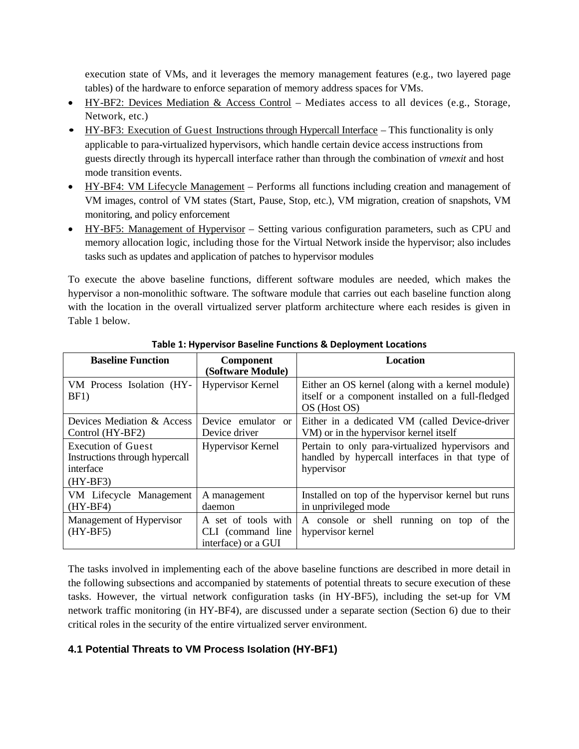execution state of VMs, and it leverages the memory management features (e.g., two layered page tables) of the hardware to enforce separation of memory address spaces for VMs.

- HY-BF2: Devices Mediation & Access Control Mediates access to all devices (e.g., Storage, Network, etc.)
- HY-BF3: Execution of Guest Instructions through Hypercall Interface This functionality is only applicable to para-virtualized hypervisors, which handle certain device access instructions from guests directly through its hypercall interface rather than through the combination of *vmexit* and host mode transition events.
- HY-BF4: VM Lifecycle Management Performs all functions including creation and management of VM images, control of VM states (Start, Pause, Stop, etc.), VM migration, creation of snapshots, VM monitoring, and policy enforcement
- HY-BF5: Management of Hypervisor Setting various configuration parameters, such as CPU and memory allocation logic, including those for the Virtual Network inside the hypervisor; also includes tasks such as updates and application of patches to hypervisor modules

To execute the above baseline functions, different software modules are needed, which makes the hypervisor a non-monolithic software. The software module that carries out each baseline function along with the location in the overall virtualized server platform architecture where each resides is given in Table 1 below.

| <b>Baseline Function</b>                                                               | <b>Component</b><br>(Software Module)                            | Location                                                                                                              |
|----------------------------------------------------------------------------------------|------------------------------------------------------------------|-----------------------------------------------------------------------------------------------------------------------|
| VM Process Isolation (HY-<br>BF1)                                                      | <b>Hypervisor Kernel</b>                                         | Either an OS kernel (along with a kernel module)<br>itself or a component installed on a full-fledged<br>OS (Host OS) |
| Devices Mediation & Access<br>Control (HY-BF2)                                         | Device emulator or<br>Device driver                              | Either in a dedicated VM (called Device-driver<br>VM) or in the hypervisor kernel itself                              |
| <b>Execution of Guest</b><br>Instructions through hypercall<br>interface<br>$(HY-BF3)$ | <b>Hypervisor Kernel</b>                                         | Pertain to only para-virtualized hypervisors and<br>handled by hypercall interfaces in that type of<br>hypervisor     |
| VM Lifecycle Management<br>$(HY-BF4)$                                                  | A management<br>daemon                                           | Installed on top of the hypervisor kernel but runs<br>in unprivileged mode                                            |
| Management of Hypervisor<br>$(HY-BF5)$                                                 | A set of tools with<br>CLI (command line)<br>interface) or a GUI | A console or shell running on top of the<br>hypervisor kernel                                                         |

**Table 1: Hypervisor Baseline Functions & Deployment Locations**

The tasks involved in implementing each of the above baseline functions are described in more detail in the following subsections and accompanied by statements of potential threats to secure execution of these tasks. However, the virtual network configuration tasks (in HY-BF5), including the set-up for VM network traffic monitoring (in HY-BF4), are discussed under a separate section (Section 6) due to their critical roles in the security of the entire virtualized server environment.

### **4.1 Potential Threats to VM Process Isolation (HY-BF1)**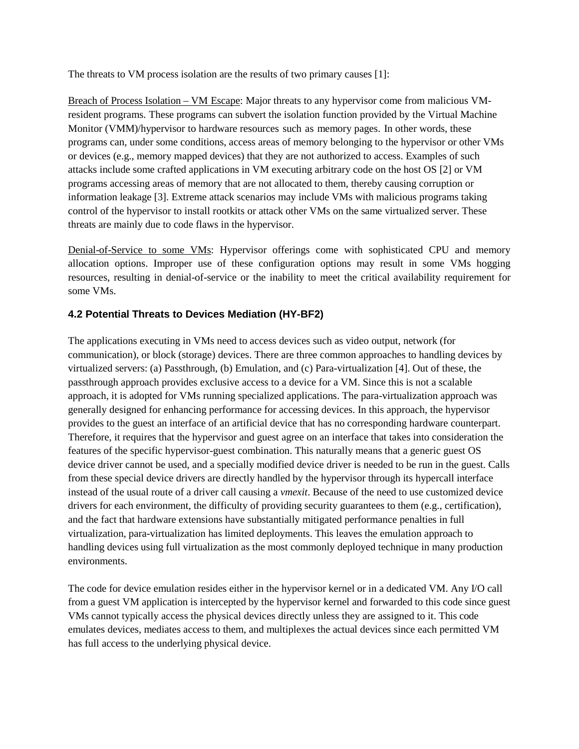The threats to VM process isolation are the results of two primary causes [1]:

Breach of Process Isolation – VM Escape: Major threats to any hypervisor come from malicious VMresident programs. These programs can subvert the isolation function provided by the Virtual Machine Monitor (VMM)/hypervisor to hardware resources such as memory pages. In other words, these programs can, under some conditions, access areas of memory belonging to the hypervisor or other VMs or devices (e.g., memory mapped devices) that they are not authorized to access. Examples of such attacks include some crafted applications in VM executing arbitrary code on the host OS [2] or VM programs accessing areas of memory that are not allocated to them, thereby causing corruption or information leakage [3]. Extreme attack scenarios may include VMs with malicious programs taking control of the hypervisor to install rootkits or attack other VMs on the same virtualized server. These threats are mainly due to code flaws in the hypervisor.

Denial-of-Service to some VMs: Hypervisor offerings come with sophisticated CPU and memory allocation options. Improper use of these configuration options may result in some VMs hogging resources, resulting in denial-of-service or the inability to meet the critical availability requirement for some VMs.

#### **4.2 Potential Threats to Devices Mediation (HY-BF2)**

The applications executing in VMs need to access devices such as video output, network (for communication), or block (storage) devices. There are three common approaches to handling devices by virtualized servers: (a) Passthrough, (b) Emulation, and (c) Para-virtualization [4]. Out of these, the passthrough approach provides exclusive access to a device for a VM. Since this is not a scalable approach, it is adopted for VMs running specialized applications. The para-virtualization approach was generally designed for enhancing performance for accessing devices. In this approach, the hypervisor provides to the guest an interface of an artificial device that has no corresponding hardware counterpart. Therefore, it requires that the hypervisor and guest agree on an interface that takes into consideration the features of the specific hypervisor-guest combination. This naturally means that a generic guest OS device driver cannot be used, and a specially modified device driver is needed to be run in the guest. Calls from these special device drivers are directly handled by the hypervisor through its hypercall interface instead of the usual route of a driver call causing a *vmexit*. Because of the need to use customized device drivers for each environment, the difficulty of providing security guarantees to them (e.g., certification), and the fact that hardware extensions have substantially mitigated performance penalties in full virtualization, para-virtualization has limited deployments. This leaves the emulation approach to handling devices using full virtualization as the most commonly deployed technique in many production environments.

The code for device emulation resides either in the hypervisor kernel or in a dedicated VM. Any I/O call from a guest VM application is intercepted by the hypervisor kernel and forwarded to this code since guest VMs cannot typically access the physical devices directly unless they are assigned to it. This code emulates devices, mediates access to them, and multiplexes the actual devices since each permitted VM has full access to the underlying physical device.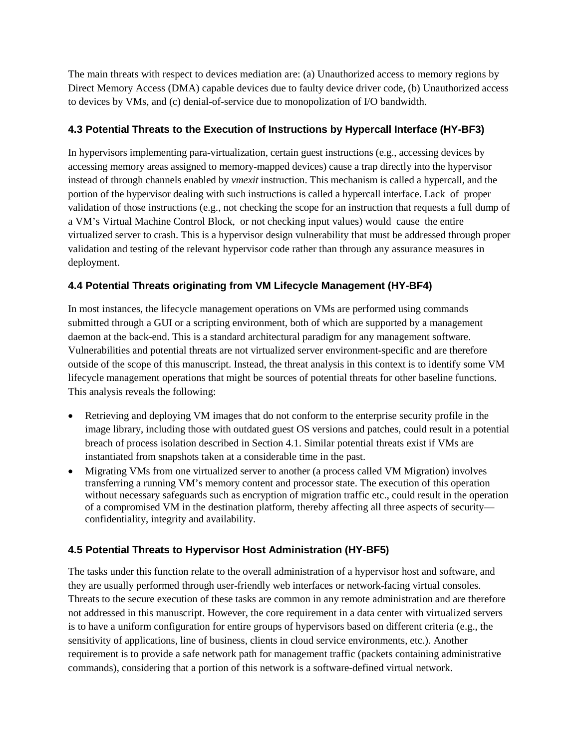The main threats with respect to devices mediation are: (a) Unauthorized access to memory regions by Direct Memory Access (DMA) capable devices due to faulty device driver code, (b) Unauthorized access to devices by VMs, and (c) denial-of-service due to monopolization of I/O bandwidth.

### **4.3 Potential Threats to the Execution of Instructions by Hypercall Interface (HY-BF3)**

In hypervisors implementing para-virtualization, certain guest instructions (e.g., accessing devices by accessing memory areas assigned to memory-mapped devices) cause a trap directly into the hypervisor instead of through channels enabled by *vmexit* instruction. This mechanism is called a hypercall, and the portion of the hypervisor dealing with such instructions is called a hypercall interface. Lack of proper validation of those instructions (e.g., not checking the scope for an instruction that requests a full dump of a VM's Virtual Machine Control Block, or not checking input values) would cause the entire virtualized server to crash. This is a hypervisor design vulnerability that must be addressed through proper validation and testing of the relevant hypervisor code rather than through any assurance measures in deployment.

### **4.4 Potential Threats originating from VM Lifecycle Management (HY-BF4)**

In most instances, the lifecycle management operations on VMs are performed using commands submitted through a GUI or a scripting environment, both of which are supported by a management daemon at the back-end. This is a standard architectural paradigm for any management software. Vulnerabilities and potential threats are not virtualized server environment-specific and are therefore outside of the scope of this manuscript. Instead, the threat analysis in this context is to identify some VM lifecycle management operations that might be sources of potential threats for other baseline functions. This analysis reveals the following:

- Retrieving and deploying VM images that do not conform to the enterprise security profile in the image library, including those with outdated guest OS versions and patches, could result in a potential breach of process isolation described in Section 4.1. Similar potential threats exist if VMs are instantiated from snapshots taken at a considerable time in the past.
- Migrating VMs from one virtualized server to another (a process called VM Migration) involves transferring a running VM's memory content and processor state. The execution of this operation without necessary safeguards such as encryption of migration traffic etc., could result in the operation of a compromised VM in the destination platform, thereby affecting all three aspects of security confidentiality, integrity and availability.

## **4.5 Potential Threats to Hypervisor Host Administration (HY-BF5)**

The tasks under this function relate to the overall administration of a hypervisor host and software, and they are usually performed through user-friendly web interfaces or network-facing virtual consoles. Threats to the secure execution of these tasks are common in any remote administration and are therefore not addressed in this manuscript. However, the core requirement in a data center with virtualized servers is to have a uniform configuration for entire groups of hypervisors based on different criteria (e.g., the sensitivity of applications, line of business, clients in cloud service environments, etc.). Another requirement is to provide a safe network path for management traffic (packets containing administrative commands), considering that a portion of this network is a software-defined virtual network.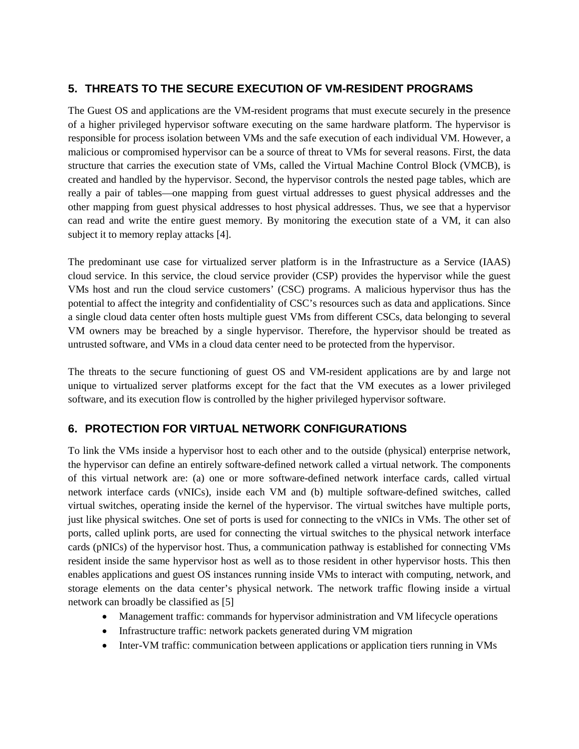## **5. THREATS TO THE SECURE EXECUTION OF VM-RESIDENT PROGRAMS**

The Guest OS and applications are the VM-resident programs that must execute securely in the presence of a higher privileged hypervisor software executing on the same hardware platform. The hypervisor is responsible for process isolation between VMs and the safe execution of each individual VM. However, a malicious or compromised hypervisor can be a source of threat to VMs for several reasons. First, the data structure that carries the execution state of VMs, called the Virtual Machine Control Block (VMCB), is created and handled by the hypervisor. Second, the hypervisor controls the nested page tables, which are really a pair of tables—one mapping from guest virtual addresses to guest physical addresses and the other mapping from guest physical addresses to host physical addresses. Thus, we see that a hypervisor can read and write the entire guest memory. By monitoring the execution state of a VM, it can also subject it to memory replay attacks [4].

The predominant use case for virtualized server platform is in the Infrastructure as a Service (IAAS) cloud service. In this service, the cloud service provider (CSP) provides the hypervisor while the guest VMs host and run the cloud service customers' (CSC) programs. A malicious hypervisor thus has the potential to affect the integrity and confidentiality of CSC's resources such as data and applications. Since a single cloud data center often hosts multiple guest VMs from different CSCs, data belonging to several VM owners may be breached by a single hypervisor. Therefore, the hypervisor should be treated as untrusted software, and VMs in a cloud data center need to be protected from the hypervisor.

The threats to the secure functioning of guest OS and VM-resident applications are by and large not unique to virtualized server platforms except for the fact that the VM executes as a lower privileged software, and its execution flow is controlled by the higher privileged hypervisor software.

## **6. PROTECTION FOR VIRTUAL NETWORK CONFIGURATIONS**

To link the VMs inside a hypervisor host to each other and to the outside (physical) enterprise network, the hypervisor can define an entirely software-defined network called a virtual network. The components of this virtual network are: (a) one or more software-defined network interface cards, called virtual network interface cards (vNICs), inside each VM and (b) multiple software-defined switches, called virtual switches, operating inside the kernel of the hypervisor. The virtual switches have multiple ports, just like physical switches. One set of ports is used for connecting to the vNICs in VMs. The other set of ports, called uplink ports, are used for connecting the virtual switches to the physical network interface cards (pNICs) of the hypervisor host. Thus, a communication pathway is established for connecting VMs resident inside the same hypervisor host as well as to those resident in other hypervisor hosts. This then enables applications and guest OS instances running inside VMs to interact with computing, network, and storage elements on the data center's physical network. The network traffic flowing inside a virtual network can broadly be classified as [5]

- Management traffic: commands for hypervisor administration and VM lifecycle operations
- Infrastructure traffic: network packets generated during VM migration
- Inter-VM traffic: communication between applications or application tiers running in VMs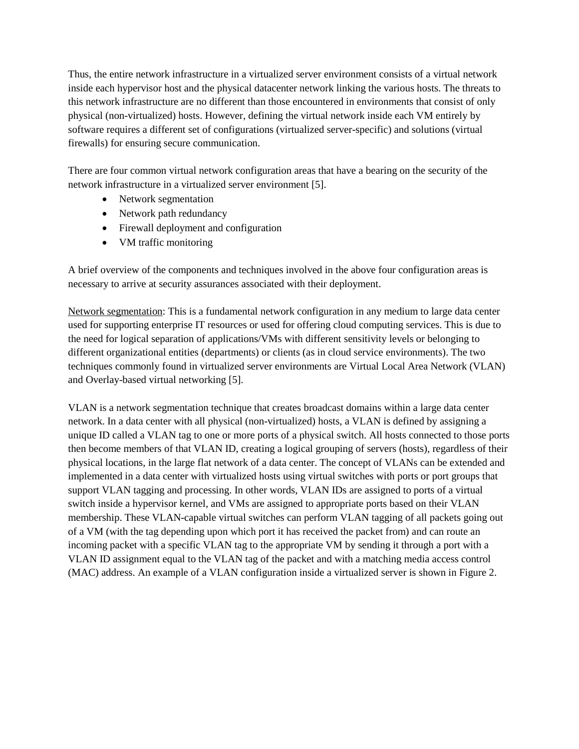Thus, the entire network infrastructure in a virtualized server environment consists of a virtual network inside each hypervisor host and the physical datacenter network linking the various hosts. The threats to this network infrastructure are no different than those encountered in environments that consist of only physical (non-virtualized) hosts. However, defining the virtual network inside each VM entirely by software requires a different set of configurations (virtualized server-specific) and solutions (virtual firewalls) for ensuring secure communication.

There are four common virtual network configuration areas that have a bearing on the security of the network infrastructure in a virtualized server environment [5].

- Network segmentation
- Network path redundancy
- Firewall deployment and configuration
- VM traffic monitoring

A brief overview of the components and techniques involved in the above four configuration areas is necessary to arrive at security assurances associated with their deployment.

Network segmentation: This is a fundamental network configuration in any medium to large data center used for supporting enterprise IT resources or used for offering cloud computing services. This is due to the need for logical separation of applications/VMs with different sensitivity levels or belonging to different organizational entities (departments) or clients (as in cloud service environments). The two techniques commonly found in virtualized server environments are Virtual Local Area Network (VLAN) and Overlay-based virtual networking [5].

VLAN is a network segmentation technique that creates broadcast domains within a large data center network. In a data center with all physical (non-virtualized) hosts, a VLAN is defined by assigning a unique ID called a VLAN tag to one or more ports of a physical switch. All hosts connected to those ports then become members of that VLAN ID, creating a logical grouping of servers (hosts), regardless of their physical locations, in the large flat network of a data center. The concept of VLANs can be extended and implemented in a data center with virtualized hosts using virtual switches with ports or port groups that support VLAN tagging and processing. In other words, VLAN IDs are assigned to ports of a virtual switch inside a hypervisor kernel, and VMs are assigned to appropriate ports based on their VLAN membership. These VLAN-capable virtual switches can perform VLAN tagging of all packets going out of a VM (with the tag depending upon which port it has received the packet from) and can route an incoming packet with a specific VLAN tag to the appropriate VM by sending it through a port with a VLAN ID assignment equal to the VLAN tag of the packet and with a matching media access control (MAC) address. An example of a VLAN configuration inside a virtualized server is shown in Figure 2.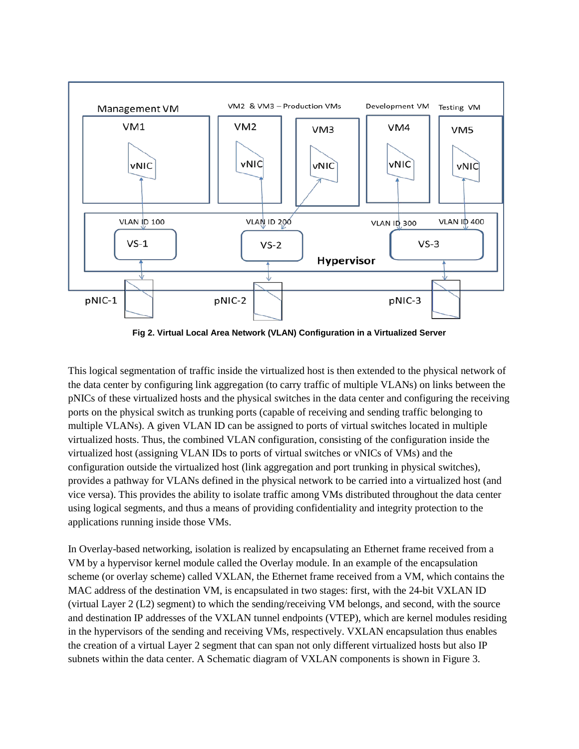

**Fig 2. Virtual Local Area Network (VLAN) Configuration in a Virtualized Server**

This logical segmentation of traffic inside the virtualized host is then extended to the physical network of the data center by configuring link aggregation (to carry traffic of multiple VLANs) on links between the pNICs of these virtualized hosts and the physical switches in the data center and configuring the receiving ports on the physical switch as trunking ports (capable of receiving and sending traffic belonging to multiple VLANs). A given VLAN ID can be assigned to ports of virtual switches located in multiple virtualized hosts. Thus, the combined VLAN configuration, consisting of the configuration inside the virtualized host (assigning VLAN IDs to ports of virtual switches or vNICs of VMs) and the configuration outside the virtualized host (link aggregation and port trunking in physical switches), provides a pathway for VLANs defined in the physical network to be carried into a virtualized host (and vice versa). This provides the ability to isolate traffic among VMs distributed throughout the data center using logical segments, and thus a means of providing confidentiality and integrity protection to the applications running inside those VMs.

In Overlay-based networking, isolation is realized by encapsulating an Ethernet frame received from a VM by a hypervisor kernel module called the Overlay module. In an example of the encapsulation scheme (or overlay scheme) called VXLAN, the Ethernet frame received from a VM, which contains the MAC address of the destination VM, is encapsulated in two stages: first, with the 24-bit VXLAN ID (virtual Layer 2 (L2) segment) to which the sending/receiving VM belongs, and second, with the source and destination IP addresses of the VXLAN tunnel endpoints (VTEP), which are kernel modules residing in the hypervisors of the sending and receiving VMs, respectively. VXLAN encapsulation thus enables the creation of a virtual Layer 2 segment that can span not only different virtualized hosts but also IP subnets within the data center. A Schematic diagram of VXLAN components is shown in Figure 3.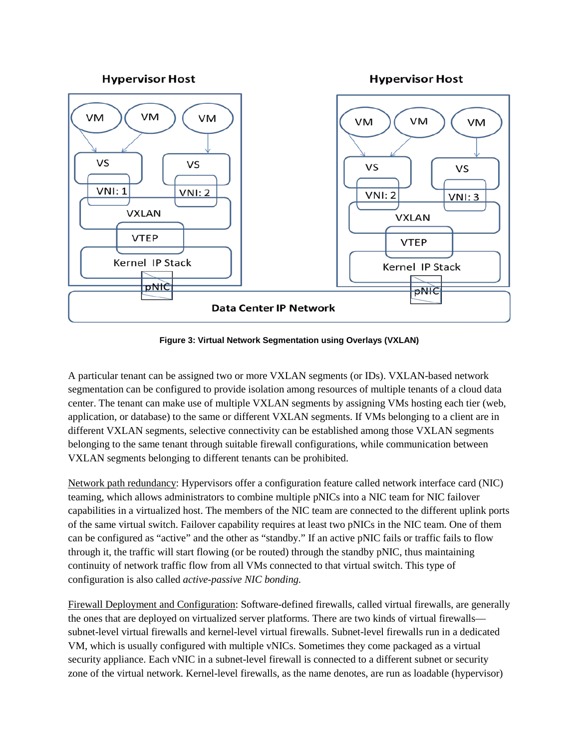

**Figure 3: Virtual Network Segmentation using Overlays (VXLAN)**

A particular tenant can be assigned two or more VXLAN segments (or IDs). VXLAN-based network segmentation can be configured to provide isolation among resources of multiple tenants of a cloud data center. The tenant can make use of multiple VXLAN segments by assigning VMs hosting each tier (web, application, or database) to the same or different VXLAN segments. If VMs belonging to a client are in different VXLAN segments, selective connectivity can be established among those VXLAN segments belonging to the same tenant through suitable firewall configurations, while communication between VXLAN segments belonging to different tenants can be prohibited.

Network path redundancy: Hypervisors offer a configuration feature called network interface card (NIC) teaming, which allows administrators to combine multiple pNICs into a NIC team for NIC failover capabilities in a virtualized host. The members of the NIC team are connected to the different uplink ports of the same virtual switch. Failover capability requires at least two pNICs in the NIC team. One of them can be configured as "active" and the other as "standby." If an active pNIC fails or traffic fails to flow through it, the traffic will start flowing (or be routed) through the standby pNIC, thus maintaining continuity of network traffic flow from all VMs connected to that virtual switch. This type of configuration is also called *active-passive NIC bonding*.

Firewall Deployment and Configuration: Software-defined firewalls, called virtual firewalls, are generally the ones that are deployed on virtualized server platforms. There are two kinds of virtual firewalls subnet-level virtual firewalls and kernel-level virtual firewalls. Subnet-level firewalls run in a dedicated VM, which is usually configured with multiple vNICs. Sometimes they come packaged as a virtual security appliance. Each vNIC in a subnet-level firewall is connected to a different subnet or security zone of the virtual network. Kernel-level firewalls, as the name denotes, are run as loadable (hypervisor)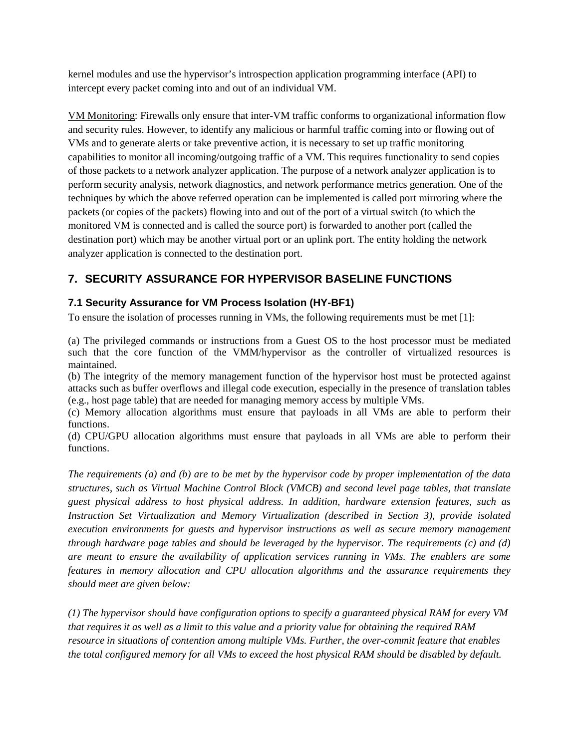kernel modules and use the hypervisor's introspection application programming interface (API) to intercept every packet coming into and out of an individual VM.

VM Monitoring: Firewalls only ensure that inter-VM traffic conforms to organizational information flow and security rules. However, to identify any malicious or harmful traffic coming into or flowing out of VMs and to generate alerts or take preventive action, it is necessary to set up traffic monitoring capabilities to monitor all incoming/outgoing traffic of a VM. This requires functionality to send copies of those packets to a network analyzer application. The purpose of a network analyzer application is to perform security analysis, network diagnostics, and network performance metrics generation. One of the techniques by which the above referred operation can be implemented is called port mirroring where the packets (or copies of the packets) flowing into and out of the port of a virtual switch (to which the monitored VM is connected and is called the source port) is forwarded to another port (called the destination port) which may be another virtual port or an uplink port. The entity holding the network analyzer application is connected to the destination port.

## **7. SECURITY ASSURANCE FOR HYPERVISOR BASELINE FUNCTIONS**

#### **7.1 Security Assurance for VM Process Isolation (HY-BF1)**

To ensure the isolation of processes running in VMs, the following requirements must be met [1]:

(a) The privileged commands or instructions from a Guest OS to the host processor must be mediated such that the core function of the VMM/hypervisor as the controller of virtualized resources is maintained.

(b) The integrity of the memory management function of the hypervisor host must be protected against attacks such as buffer overflows and illegal code execution, especially in the presence of translation tables (e.g., host page table) that are needed for managing memory access by multiple VMs.

(c) Memory allocation algorithms must ensure that payloads in all VMs are able to perform their functions.

(d) CPU/GPU allocation algorithms must ensure that payloads in all VMs are able to perform their functions.

*The requirements (a) and (b) are to be met by the hypervisor code by proper implementation of the data structures, such as Virtual Machine Control Block (VMCB) and second level page tables, that translate guest physical address to host physical address. In addition, hardware extension features, such as Instruction Set Virtualization and Memory Virtualization (described in Section 3), provide isolated execution environments for guests and hypervisor instructions as well as secure memory management through hardware page tables and should be leveraged by the hypervisor. The requirements (c) and (d) are meant to ensure the availability of application services running in VMs. The enablers are some features in memory allocation and CPU allocation algorithms and the assurance requirements they should meet are given below:*

*(1) The hypervisor should have configuration options to specify a guaranteed physical RAM for every VM that requires it as well as a limit to this value and a priority value for obtaining the required RAM resource in situations of contention among multiple VMs. Further, the over-commit feature that enables the total configured memory for all VMs to exceed the host physical RAM should be disabled by default.*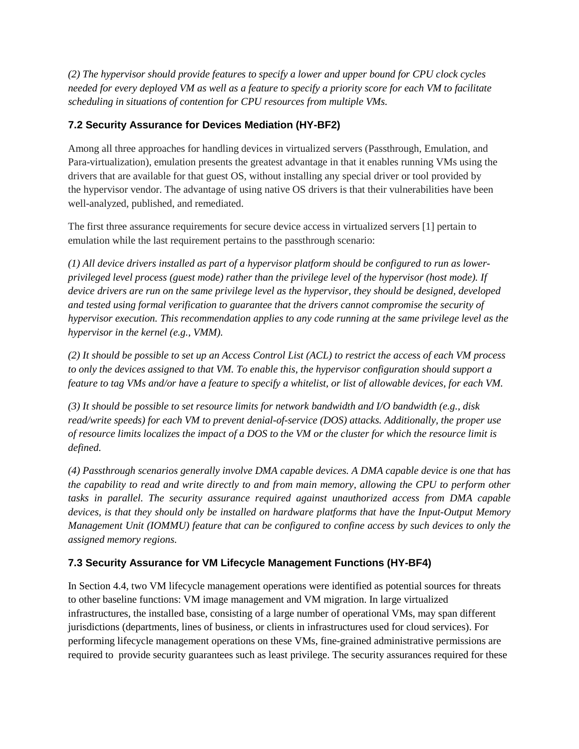*(2) The hypervisor should provide features to specify a lower and upper bound for CPU clock cycles needed for every deployed VM as well as a feature to specify a priority score for each VM to facilitate scheduling in situations of contention for CPU resources from multiple VMs.*

### **7.2 Security Assurance for Devices Mediation (HY-BF2)**

Among all three approaches for handling devices in virtualized servers (Passthrough, Emulation, and Para-virtualization), emulation presents the greatest advantage in that it enables running VMs using the drivers that are available for that guest OS, without installing any special driver or tool provided by the hypervisor vendor. The advantage of using native OS drivers is that their vulnerabilities have been well-analyzed, published, and remediated.

The first three assurance requirements for secure device access in virtualized servers [1] pertain to emulation while the last requirement pertains to the passthrough scenario:

*(1) All device drivers installed as part of a hypervisor platform should be configured to run as lowerprivileged level process (guest mode) rather than the privilege level of the hypervisor (host mode). If device drivers are run on the same privilege level as the hypervisor, they should be designed, developed and tested using formal verification to guarantee that the drivers cannot compromise the security of hypervisor execution. This recommendation applies to any code running at the same privilege level as the hypervisor in the kernel (e.g., VMM).*

*(2) It should be possible to set up an Access Control List (ACL) to restrict the access of each VM process to only the devices assigned to that VM. To enable this, the hypervisor configuration should support a feature to tag VMs and/or have a feature to specify a whitelist, or list of allowable devices, for each VM.*

*(3) It should be possible to set resource limits for network bandwidth and I/O bandwidth (e.g., disk read/write speeds) for each VM to prevent denial-of-service (DOS) attacks. Additionally, the proper use of resource limits localizes the impact of a DOS to the VM or the cluster for which the resource limit is defined.*

*(4) Passthrough scenarios generally involve DMA capable devices. A DMA capable device is one that has the capability to read and write directly to and from main memory, allowing the CPU to perform other tasks in parallel. The security assurance required against unauthorized access from DMA capable devices, is that they should only be installed on hardware platforms that have the Input-Output Memory Management Unit (IOMMU) feature that can be configured to confine access by such devices to only the assigned memory regions.*

### **7.3 Security Assurance for VM Lifecycle Management Functions (HY-BF4)**

In Section 4.4, two VM lifecycle management operations were identified as potential sources for threats to other baseline functions: VM image management and VM migration. In large virtualized infrastructures, the installed base, consisting of a large number of operational VMs, may span different jurisdictions (departments, lines of business, or clients in infrastructures used for cloud services). For performing lifecycle management operations on these VMs, fine-grained administrative permissions are required to provide security guarantees such as least privilege. The security assurances required for these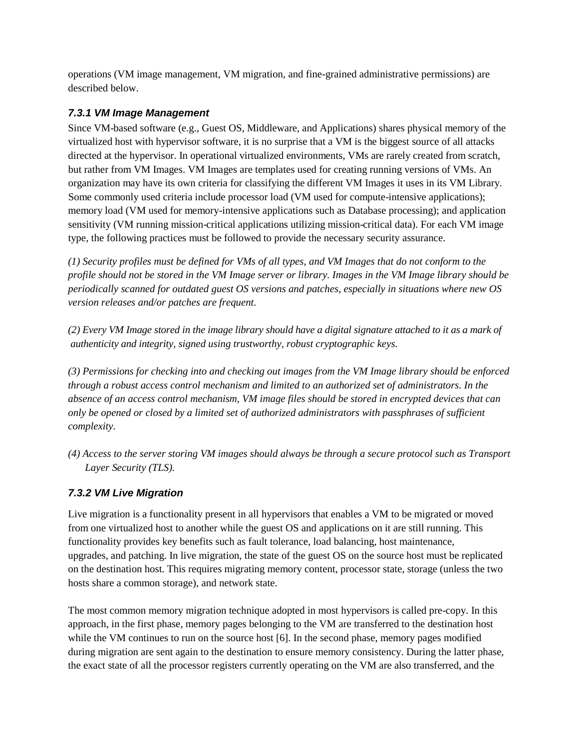operations (VM image management, VM migration, and fine-grained administrative permissions) are described below.

### *7.3.1 VM Image Management*

Since VM-based software (e.g., Guest OS, Middleware, and Applications) shares physical memory of the virtualized host with hypervisor software, it is no surprise that a VM is the biggest source of all attacks directed at the hypervisor. In operational virtualized environments, VMs are rarely created from scratch, but rather from VM Images. VM Images are templates used for creating running versions of VMs. An organization may have its own criteria for classifying the different VM Images it uses in its VM Library. Some commonly used criteria include processor load (VM used for compute-intensive applications); memory load (VM used for memory-intensive applications such as Database processing); and application sensitivity (VM running mission-critical applications utilizing mission-critical data). For each VM image type, the following practices must be followed to provide the necessary security assurance.

*(1) Security profiles must be defined for VMs of all types, and VM Images that do not conform to the profile should not be stored in the VM Image server or library. Images in the VM Image library should be periodically scanned for outdated guest OS versions and patches, especially in situations where new OS version releases and/or patches are frequent.*

*(2) Every VM Image stored in the image library should have a digital signature attached to it as a mark of authenticity and integrity, signed using trustworthy, robust cryptographic keys.* 

*(3) Permissions for checking into and checking out images from the VM Image library should be enforced through a robust access control mechanism and limited to an authorized set of administrators. In the absence of an access control mechanism, VM image files should be stored in encrypted devices that can only be opened or closed by a limited set of authorized administrators with passphrases of sufficient complexity.*

*(4) Access to the server storing VM images should always be through a secure protocol such as Transport Layer Security (TLS).*

#### *7.3.2 VM Live Migration*

Live migration is a functionality present in all hypervisors that enables a VM to be migrated or moved from one virtualized host to another while the guest OS and applications on it are still running. This functionality provides key benefits such as fault tolerance, load balancing, host maintenance, upgrades, and patching. In live migration, the state of the guest OS on the source host must be replicated on the destination host. This requires migrating memory content, processor state, storage (unless the two hosts share a common storage), and network state.

The most common memory migration technique adopted in most hypervisors is called pre-copy. In this approach, in the first phase, memory pages belonging to the VM are transferred to the destination host while the VM continues to run on the source host [6]. In the second phase, memory pages modified during migration are sent again to the destination to ensure memory consistency. During the latter phase, the exact state of all the processor registers currently operating on the VM are also transferred, and the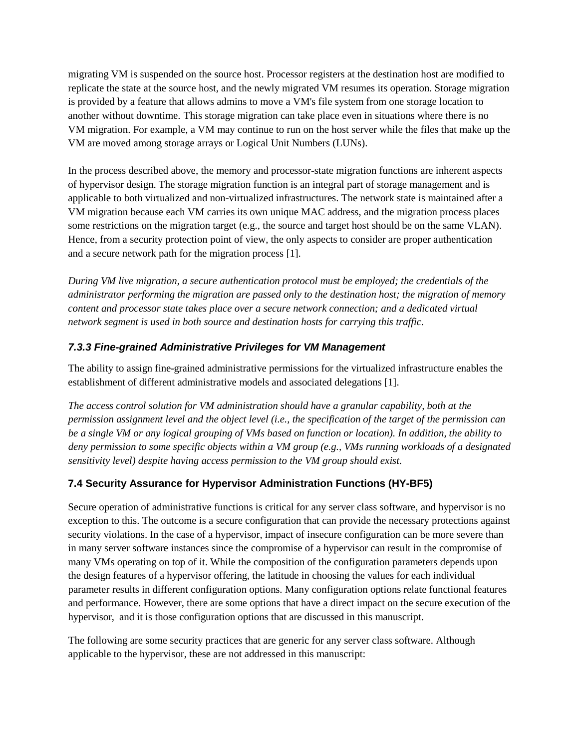migrating VM is suspended on the source host. Processor registers at the destination host are modified to replicate the state at the source host, and the newly migrated VM resumes its operation. Storage migration is provided by a feature that allows admins to move a VM's file system from one storage location to another without downtime. This storage migration can take place even in situations where there is no VM migration. For example, a VM may continue to run on the host server while the files that make up the VM are moved among storage arrays or Logical Unit Numbers (LUNs).

In the process described above, the memory and processor-state migration functions are inherent aspects of hypervisor design. The storage migration function is an integral part of storage management and is applicable to both virtualized and non-virtualized infrastructures. The network state is maintained after a VM migration because each VM carries its own unique MAC address, and the migration process places some restrictions on the migration target (e.g., the source and target host should be on the same VLAN). Hence, from a security protection point of view, the only aspects to consider are proper authentication and a secure network path for the migration process [1].

*During VM live migration, a secure authentication protocol must be employed; the credentials of the administrator performing the migration are passed only to the destination host; the migration of memory content and processor state takes place over a secure network connection; and a dedicated virtual network segment is used in both source and destination hosts for carrying this traffic.*

### *7.3.3 Fine-grained Administrative Privileges for VM Management*

The ability to assign fine-grained administrative permissions for the virtualized infrastructure enables the establishment of different administrative models and associated delegations [1].

*The access control solution for VM administration should have a granular capability, both at the permission assignment level and the object level (i.e., the specification of the target of the permission can be a single VM or any logical grouping of VMs based on function or location). In addition, the ability to deny permission to some specific objects within a VM group (e.g., VMs running workloads of a designated sensitivity level) despite having access permission to the VM group should exist.* 

## **7.4 Security Assurance for Hypervisor Administration Functions (HY-BF5)**

Secure operation of administrative functions is critical for any server class software, and hypervisor is no exception to this. The outcome is a secure configuration that can provide the necessary protections against security violations. In the case of a hypervisor, impact of insecure configuration can be more severe than in many server software instances since the compromise of a hypervisor can result in the compromise of many VMs operating on top of it. While the composition of the configuration parameters depends upon the design features of a hypervisor offering, the latitude in choosing the values for each individual parameter results in different configuration options. Many configuration options relate functional features and performance. However, there are some options that have a direct impact on the secure execution of the hypervisor, and it is those configuration options that are discussed in this manuscript.

The following are some security practices that are generic for any server class software. Although applicable to the hypervisor, these are not addressed in this manuscript: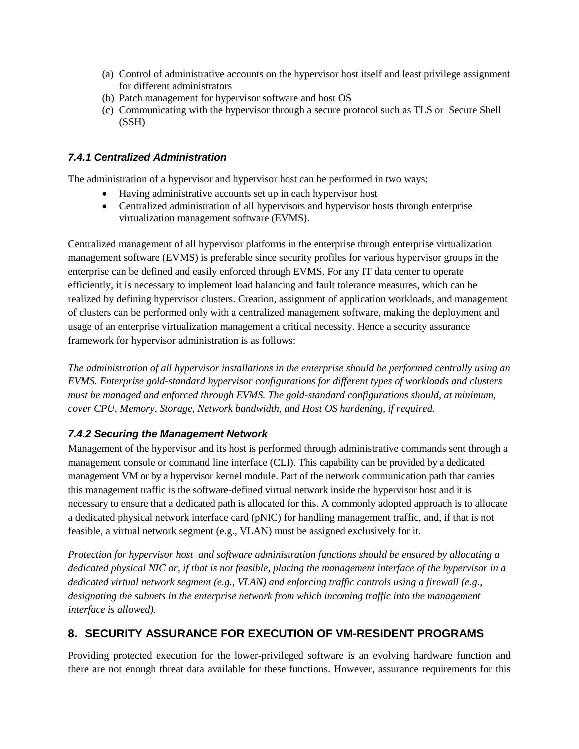- (a) Control of administrative accounts on the hypervisor host itself and least privilege assignment for different administrators
- (b) Patch management for hypervisor software and host OS
- (c) Communicating with the hypervisor through a secure protocol such as TLS or Secure Shell (SSH)

#### *7.4.1 Centralized Administration*

The administration of a hypervisor and hypervisor host can be performed in two ways:

- Having administrative accounts set up in each hypervisor host
- Centralized administration of all hypervisors and hypervisor hosts through enterprise virtualization management software (EVMS).

Centralized management of all hypervisor platforms in the enterprise through enterprise virtualization management software (EVMS) is preferable since security profiles for various hypervisor groups in the enterprise can be defined and easily enforced through EVMS. For any IT data center to operate efficiently, it is necessary to implement load balancing and fault tolerance measures, which can be realized by defining hypervisor clusters. Creation, assignment of application workloads, and management of clusters can be performed only with a centralized management software, making the deployment and usage of an enterprise virtualization management a critical necessity. Hence a security assurance framework for hypervisor administration is as follows:

*The administration of all hypervisor installations in the enterprise should be performed centrally using an EVMS. Enterprise gold-standard hypervisor configurations for different types of workloads and clusters must be managed and enforced through EVMS. The gold-standard configurations should, at minimum, cover CPU, Memory, Storage, Network bandwidth, and Host OS hardening, if required.*

### *7.4.2 Securing the Management Network*

Management of the hypervisor and its host is performed through administrative commands sent through a management console or command line interface (CLI). This capability can be provided by a dedicated management VM or by a hypervisor kernel module. Part of the network communication path that carries this management traffic is the software-defined virtual network inside the hypervisor host and it is necessary to ensure that a dedicated path is allocated for this. A commonly adopted approach is to allocate a dedicated physical network interface card (pNIC) for handling management traffic, and, if that is not feasible, a virtual network segment (e.g., VLAN) must be assigned exclusively for it.

*Protection for hypervisor host and software administration functions should be ensured by allocating a dedicated physical NIC or, if that is not feasible, placing the management interface of the hypervisor in a dedicated virtual network segment (e.g., VLAN) and enforcing traffic controls using a firewall (e.g., designating the subnets in the enterprise network from which incoming traffic into the management interface is allowed).*

## **8. SECURITY ASSURANCE FOR EXECUTION OF VM-RESIDENT PROGRAMS**

Providing protected execution for the lower-privileged software is an evolving hardware function and there are not enough threat data available for these functions. However, assurance requirements for this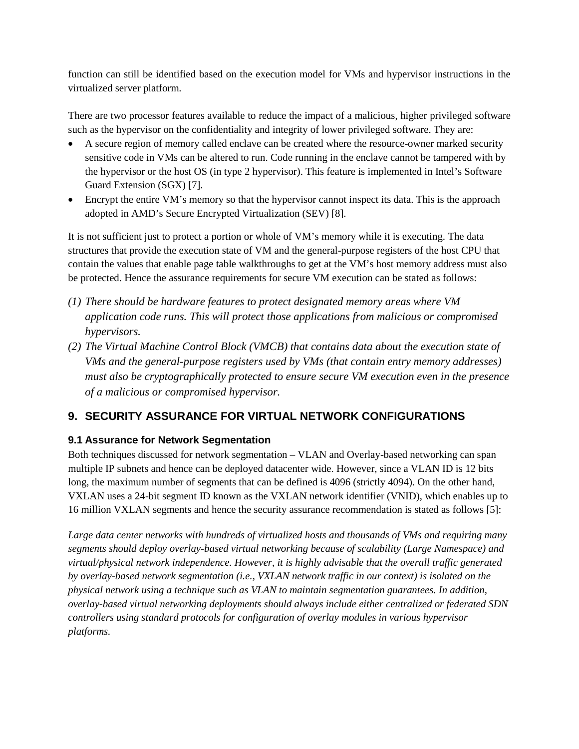function can still be identified based on the execution model for VMs and hypervisor instructions in the virtualized server platform.

There are two processor features available to reduce the impact of a malicious, higher privileged software such as the hypervisor on the confidentiality and integrity of lower privileged software. They are:

- A secure region of memory called enclave can be created where the resource-owner marked security sensitive code in VMs can be altered to run. Code running in the enclave cannot be tampered with by the hypervisor or the host OS (in type 2 hypervisor). This feature is implemented in Intel's Software Guard Extension (SGX) [7].
- Encrypt the entire VM's memory so that the hypervisor cannot inspect its data. This is the approach adopted in AMD's Secure Encrypted Virtualization (SEV) [8].

It is not sufficient just to protect a portion or whole of VM's memory while it is executing. The data structures that provide the execution state of VM and the general-purpose registers of the host CPU that contain the values that enable page table walkthroughs to get at the VM's host memory address must also be protected. Hence the assurance requirements for secure VM execution can be stated as follows:

- *(1) There should be hardware features to protect designated memory areas where VM application code runs. This will protect those applications from malicious or compromised hypervisors.*
- *(2) The Virtual Machine Control Block (VMCB) that contains data about the execution state of VMs and the general-purpose registers used by VMs (that contain entry memory addresses) must also be cryptographically protected to ensure secure VM execution even in the presence of a malicious or compromised hypervisor.*

## **9. SECURITY ASSURANCE FOR VIRTUAL NETWORK CONFIGURATIONS**

### **9.1 Assurance for Network Segmentation**

Both techniques discussed for network segmentation – VLAN and Overlay-based networking can span multiple IP subnets and hence can be deployed datacenter wide. However, since a VLAN ID is 12 bits long, the maximum number of segments that can be defined is 4096 (strictly 4094). On the other hand, VXLAN uses a 24-bit segment ID known as the VXLAN network identifier (VNID), which enables up to 16 million VXLAN segments and hence the security assurance recommendation is stated as follows [5]:

*Large data center networks with hundreds of virtualized hosts and thousands of VMs and requiring many segments should deploy overlay-based virtual networking because of scalability (Large Namespace) and virtual/physical network independence. However, it is highly advisable that the overall traffic generated by overlay-based network segmentation (i.e., VXLAN network traffic in our context) is isolated on the physical network using a technique such as VLAN to maintain segmentation guarantees. In addition, overlay-based virtual networking deployments should always include either centralized or federated SDN controllers using standard protocols for configuration of overlay modules in various hypervisor platforms.*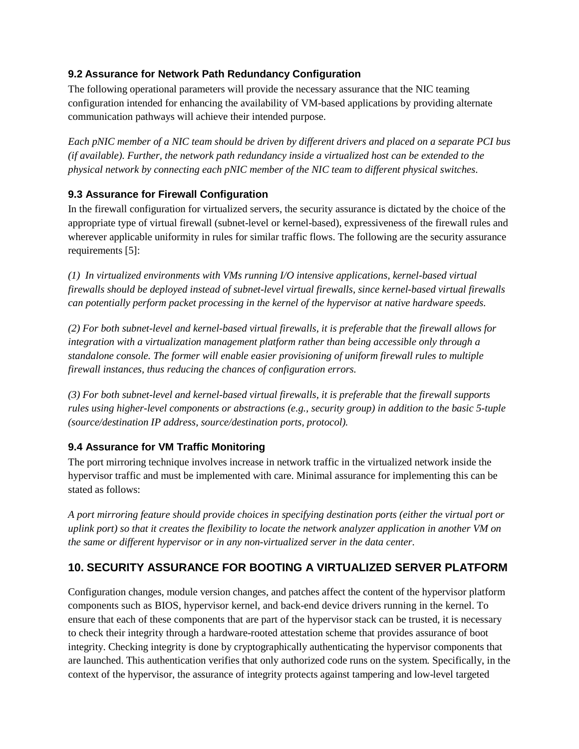### **9.2 Assurance for Network Path Redundancy Configuration**

The following operational parameters will provide the necessary assurance that the NIC teaming configuration intended for enhancing the availability of VM-based applications by providing alternate communication pathways will achieve their intended purpose.

*Each pNIC member of a NIC team should be driven by different drivers and placed on a separate PCI bus (if available). Further, the network path redundancy inside a virtualized host can be extended to the physical network by connecting each pNIC member of the NIC team to different physical switches*.

### **9.3 Assurance for Firewall Configuration**

In the firewall configuration for virtualized servers, the security assurance is dictated by the choice of the appropriate type of virtual firewall (subnet-level or kernel-based), expressiveness of the firewall rules and wherever applicable uniformity in rules for similar traffic flows. The following are the security assurance requirements [5]:

*(1) In virtualized environments with VMs running I/O intensive applications, kernel-based virtual firewalls should be deployed instead of subnet-level virtual firewalls, since kernel-based virtual firewalls can potentially perform packet processing in the kernel of the hypervisor at native hardware speeds.*

*(2) For both subnet-level and kernel-based virtual firewalls, it is preferable that the firewall allows for integration with a virtualization management platform rather than being accessible only through a standalone console. The former will enable easier provisioning of uniform firewall rules to multiple firewall instances, thus reducing the chances of configuration errors.* 

*(3) For both subnet-level and kernel-based virtual firewalls, it is preferable that the firewall supports rules using higher-level components or abstractions (e.g., security group) in addition to the basic 5-tuple (source/destination IP address, source/destination ports, protocol).* 

### **9.4 Assurance for VM Traffic Monitoring**

The port mirroring technique involves increase in network traffic in the virtualized network inside the hypervisor traffic and must be implemented with care. Minimal assurance for implementing this can be stated as follows:

*A port mirroring feature should provide choices in specifying destination ports (either the virtual port or uplink port) so that it creates the flexibility to locate the network analyzer application in another VM on the same or different hypervisor or in any non-virtualized server in the data center*.

## **10. SECURITY ASSURANCE FOR BOOTING A VIRTUALIZED SERVER PLATFORM**

Configuration changes, module version changes, and patches affect the content of the hypervisor platform components such as BIOS, hypervisor kernel, and back-end device drivers running in the kernel. To ensure that each of these components that are part of the hypervisor stack can be trusted, it is necessary to check their integrity through a hardware-rooted attestation scheme that provides assurance of boot integrity. Checking integrity is done by cryptographically authenticating the hypervisor components that are launched. This authentication verifies that only authorized code runs on the system. Specifically, in the context of the hypervisor, the assurance of integrity protects against tampering and low-level targeted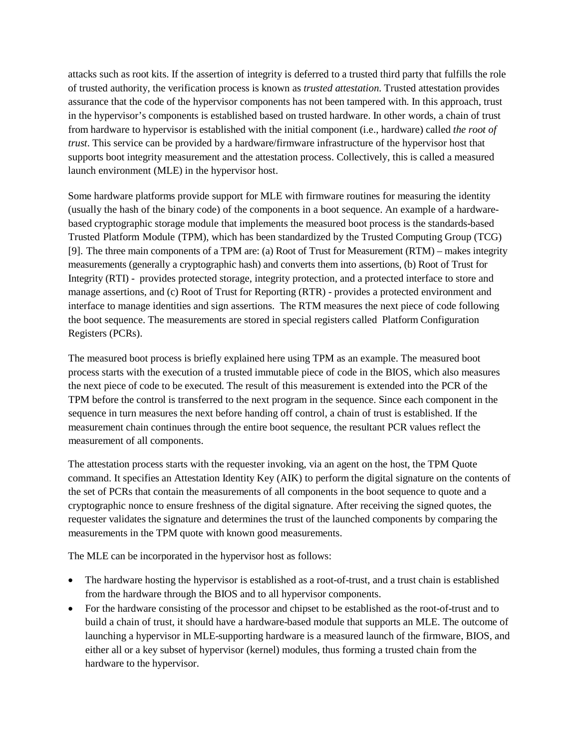attacks such as root kits. If the assertion of integrity is deferred to a trusted third party that fulfills the role of trusted authority, the verification process is known as *trusted attestation*. Trusted attestation provides assurance that the code of the hypervisor components has not been tampered with. In this approach, trust in the hypervisor's components is established based on trusted hardware. In other words, a chain of trust from hardware to hypervisor is established with the initial component (i.e., hardware) called *the root of trust*. This service can be provided by a hardware/firmware infrastructure of the hypervisor host that supports boot integrity measurement and the attestation process. Collectively, this is called a measured launch environment (MLE) in the hypervisor host.

Some hardware platforms provide support for MLE with firmware routines for measuring the identity (usually the hash of the binary code) of the components in a boot sequence. An example of a hardwarebased cryptographic storage module that implements the measured boot process is the standards-based Trusted Platform Module (TPM), which has been standardized by the Trusted Computing Group (TCG) [9]. The three main components of a TPM are: (a) Root of Trust for Measurement (RTM) – makes integrity measurements (generally a cryptographic hash) and converts them into assertions, (b) Root of Trust for Integrity (RTI) - provides protected storage, integrity protection, and a protected interface to store and manage assertions, and (c) Root of Trust for Reporting (RTR) - provides a protected environment and interface to manage identities and sign assertions. The RTM measures the next piece of code following the boot sequence. The measurements are stored in special registers called Platform Configuration Registers (PCRs).

The measured boot process is briefly explained here using TPM as an example. The measured boot process starts with the execution of a trusted immutable piece of code in the BIOS, which also measures the next piece of code to be executed. The result of this measurement is extended into the PCR of the TPM before the control is transferred to the next program in the sequence. Since each component in the sequence in turn measures the next before handing off control, a chain of trust is established. If the measurement chain continues through the entire boot sequence, the resultant PCR values reflect the measurement of all components.

The attestation process starts with the requester invoking, via an agent on the host, the TPM Quote command. It specifies an Attestation Identity Key (AIK) to perform the digital signature on the contents of the set of PCRs that contain the measurements of all components in the boot sequence to quote and a cryptographic nonce to ensure freshness of the digital signature. After receiving the signed quotes, the requester validates the signature and determines the trust of the launched components by comparing the measurements in the TPM quote with known good measurements.

The MLE can be incorporated in the hypervisor host as follows:

- The hardware hosting the hypervisor is established as a root-of-trust, and a trust chain is established from the hardware through the BIOS and to all hypervisor components.
- For the hardware consisting of the processor and chipset to be established as the root-of-trust and to build a chain of trust, it should have a hardware-based module that supports an MLE. The outcome of launching a hypervisor in MLE-supporting hardware is a measured launch of the firmware, BIOS, and either all or a key subset of hypervisor (kernel) modules, thus forming a trusted chain from the hardware to the hypervisor.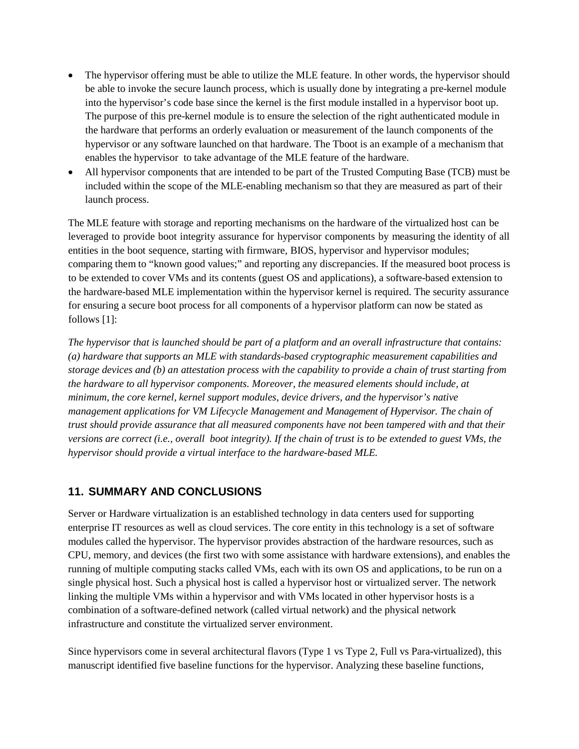- The hypervisor offering must be able to utilize the MLE feature. In other words, the hypervisor should be able to invoke the secure launch process, which is usually done by integrating a pre-kernel module into the hypervisor's code base since the kernel is the first module installed in a hypervisor boot up. The purpose of this pre-kernel module is to ensure the selection of the right authenticated module in the hardware that performs an orderly evaluation or measurement of the launch components of the hypervisor or any software launched on that hardware. The Tboot is an example of a mechanism that enables the hypervisor to take advantage of the MLE feature of the hardware.
- All hypervisor components that are intended to be part of the Trusted Computing Base (TCB) must be included within the scope of the MLE-enabling mechanism so that they are measured as part of their launch process.

The MLE feature with storage and reporting mechanisms on the hardware of the virtualized host can be leveraged to provide boot integrity assurance for hypervisor components by measuring the identity of all entities in the boot sequence, starting with firmware, BIOS, hypervisor and hypervisor modules; comparing them to "known good values;" and reporting any discrepancies. If the measured boot process is to be extended to cover VMs and its contents (guest OS and applications), a software-based extension to the hardware-based MLE implementation within the hypervisor kernel is required. The security assurance for ensuring a secure boot process for all components of a hypervisor platform can now be stated as follows [1]:

*The hypervisor that is launched should be part of a platform and an overall infrastructure that contains: (a) hardware that supports an MLE with standards-based cryptographic measurement capabilities and storage devices and (b) an attestation process with the capability to provide a chain of trust starting from the hardware to all hypervisor components. Moreover, the measured elements should include, at minimum, the core kernel, kernel support modules, device drivers, and the hypervisor's native management applications for VM Lifecycle Management and Management of Hypervisor. The chain of trust should provide assurance that all measured components have not been tampered with and that their versions are correct (i.e., overall boot integrity). If the chain of trust is to be extended to guest VMs, the hypervisor should provide a virtual interface to the hardware-based MLE.*

## **11. SUMMARY AND CONCLUSIONS**

Server or Hardware virtualization is an established technology in data centers used for supporting enterprise IT resources as well as cloud services. The core entity in this technology is a set of software modules called the hypervisor. The hypervisor provides abstraction of the hardware resources, such as CPU, memory, and devices (the first two with some assistance with hardware extensions), and enables the running of multiple computing stacks called VMs, each with its own OS and applications, to be run on a single physical host. Such a physical host is called a hypervisor host or virtualized server. The network linking the multiple VMs within a hypervisor and with VMs located in other hypervisor hosts is a combination of a software-defined network (called virtual network) and the physical network infrastructure and constitute the virtualized server environment.

Since hypervisors come in several architectural flavors (Type 1 vs Type 2, Full vs Para-virtualized), this manuscript identified five baseline functions for the hypervisor. Analyzing these baseline functions,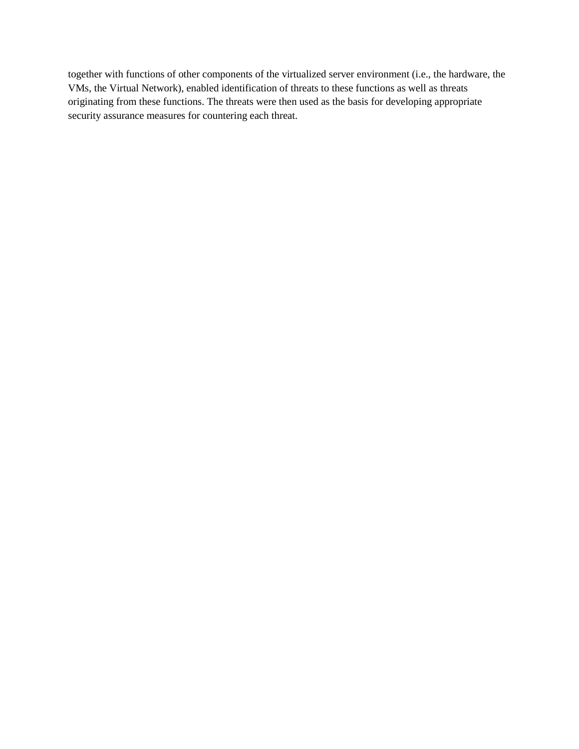together with functions of other components of the virtualized server environment (i.e., the hardware, the VMs, the Virtual Network), enabled identification of threats to these functions as well as threats originating from these functions. The threats were then used as the basis for developing appropriate security assurance measures for countering each threat.